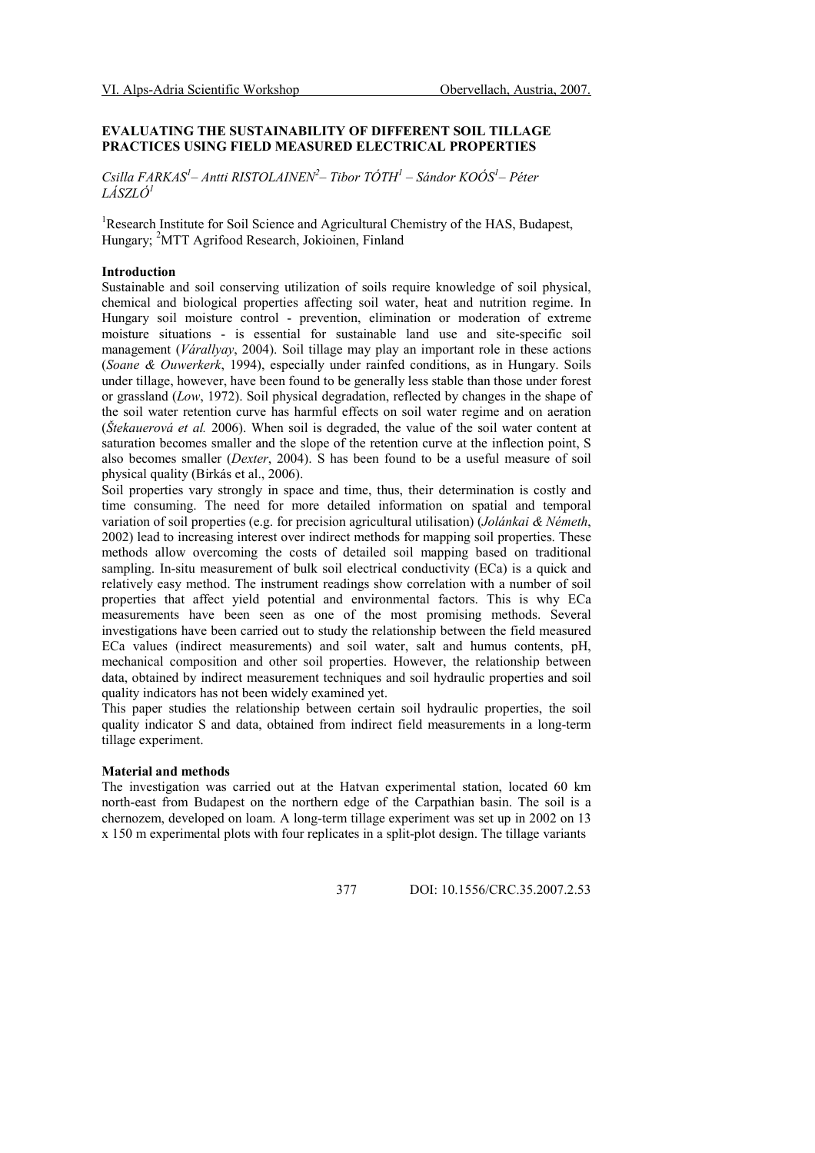# EVALUATING THE SUSTAINABILITY OF DIFFERENT SOIL TILLAGE PRACTICES USING FIELD MEASURED ELECTRICAL PROPERTIES

Csilla FARKAS<sup>1</sup>– Antti RISTOLAINEN<sup>2</sup>– Tibor TÓTH<sup>1</sup> – Sándor KOÓS<sup>1</sup>– Péter LÁSZLÓ<sup>1</sup>

<sup>1</sup>Research Institute for Soil Science and Agricultural Chemistry of the HAS, Budapest, Hungary; <sup>2</sup>MTT Agrifood Research, Jokioinen, Finland

### Introduction

Sustainable and soil conserving utilization of soils require knowledge of soil physical, chemical and biological properties affecting soil water, heat and nutrition regime. In Hungary soil moisture control - prevention, elimination or moderation of extreme moisture situations - is essential for sustainable land use and site-specific soil management (Várallyay, 2004). Soil tillage may play an important role in these actions (Soane & Ouwerkerk, 1994), especially under rainfed conditions, as in Hungary. Soils under tillage, however, have been found to be generally less stable than those under forest or grassland (Low, 1972). Soil physical degradation, reflected by changes in the shape of the soil water retention curve has harmful effects on soil water regime and on aeration (Štekauerová et al. 2006). When soil is degraded, the value of the soil water content at saturation becomes smaller and the slope of the retention curve at the inflection point, S also becomes smaller (Dexter, 2004). S has been found to be a useful measure of soil physical quality (Birkás et al., 2006).

Soil properties vary strongly in space and time, thus, their determination is costly and time consuming. The need for more detailed information on spatial and temporal variation of soil properties (e.g. for precision agricultural utilisation) (Jolánkai & Németh, 2002) lead to increasing interest over indirect methods for mapping soil properties. These methods allow overcoming the costs of detailed soil mapping based on traditional sampling. In-situ measurement of bulk soil electrical conductivity (ECa) is a quick and relatively easy method. The instrument readings show correlation with a number of soil properties that affect yield potential and environmental factors. This is why ECa measurements have been seen as one of the most promising methods. Several investigations have been carried out to study the relationship between the field measured ECa values (indirect measurements) and soil water, salt and humus contents, pH, mechanical composition and other soil properties. However, the relationship between data, obtained by indirect measurement techniques and soil hydraulic properties and soil quality indicators has not been widely examined yet.

This paper studies the relationship between certain soil hydraulic properties, the soil quality indicator S and data, obtained from indirect field measurements in a long-term tillage experiment.

## Material and methods

The investigation was carried out at the Hatvan experimental station, located 60 km north-east from Budapest on the northern edge of the Carpathian basin. The soil is a chernozem, developed on loam. A long-term tillage experiment was set up in 2002 on 13 x 150 m experimental plots with four replicates in a split-plot design. The tillage variants

377 DOI: 10.1556/CRC.35.2007.2.53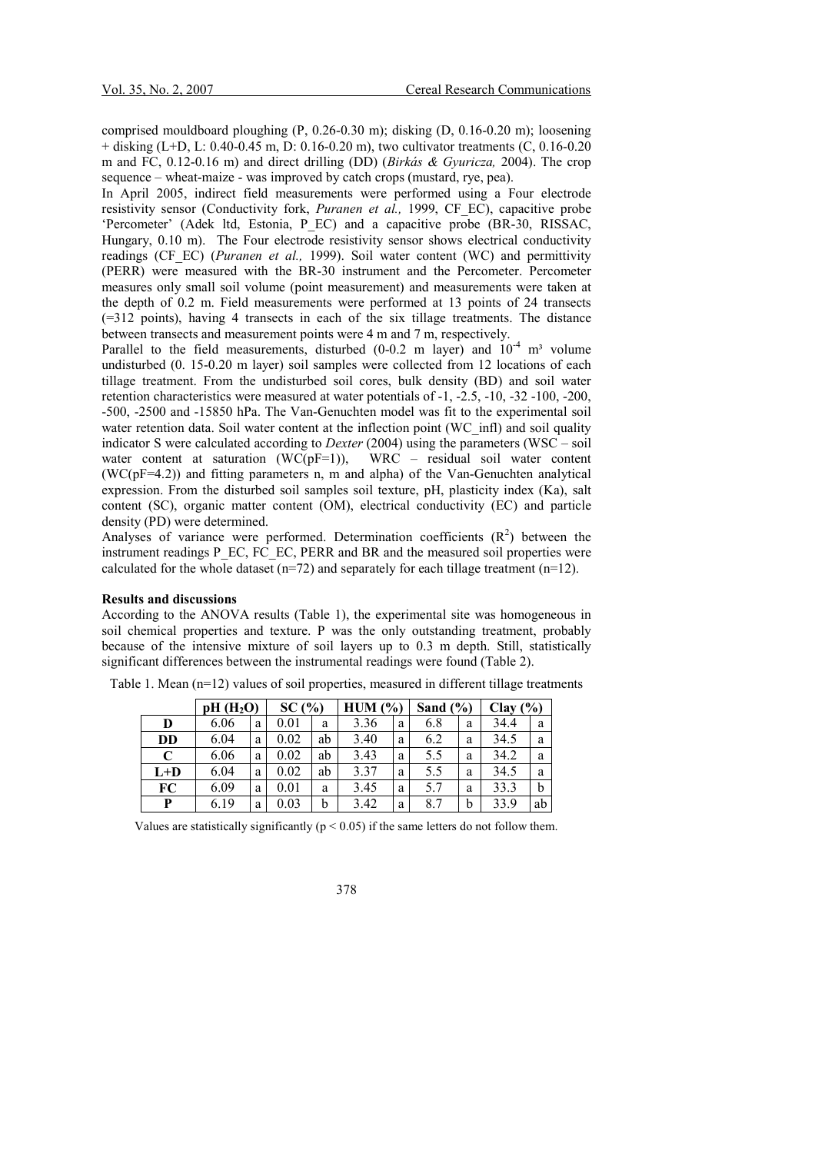comprised mouldboard ploughing (P, 0.26-0.30 m); disking (D, 0.16-0.20 m); loosening  $+$  disking (L+D, L: 0.40-0.45 m, D: 0.16-0.20 m), two cultivator treatments (C, 0.16-0.20 m and FC, 0.12-0.16 m) and direct drilling (DD) (Birkás & Gyuricza, 2004). The crop sequence – wheat-maize - was improved by catch crops (mustard, rye, pea).

In April 2005, indirect field measurements were performed using a Four electrode resistivity sensor (Conductivity fork, Puranen et al., 1999, CF EC), capacitive probe 'Percometer' (Adek ltd, Estonia, P\_EC) and a capacitive probe (BR-30, RISSAC, Hungary, 0.10 m). The Four electrode resistivity sensor shows electrical conductivity readings (CF\_EC) (Puranen et al., 1999). Soil water content (WC) and permittivity (PERR) were measured with the BR-30 instrument and the Percometer. Percometer measures only small soil volume (point measurement) and measurements were taken at the depth of 0.2 m. Field measurements were performed at 13 points of 24 transects (=312 points), having 4 transects in each of the six tillage treatments. The distance between transects and measurement points were 4 m and 7 m, respectively.

Parallel to the field measurements, disturbed (0-0.2 m layer) and  $10^{-4}$  m<sup>3</sup> volume undisturbed (0. 15-0.20 m layer) soil samples were collected from 12 locations of each tillage treatment. From the undisturbed soil cores, bulk density (BD) and soil water retention characteristics were measured at water potentials of -1, -2.5, -10, -32 -100, -200, -500, -2500 and -15850 hPa. The Van-Genuchten model was fit to the experimental soil water retention data. Soil water content at the inflection point (WC infl) and soil quality indicator S were calculated according to *Dexter* (2004) using the parameters (WSC – soil water content at saturation  $(WC(pF=1))$ , WRC – residual soil water content (WC(pF=4.2)) and fitting parameters n, m and alpha) of the Van-Genuchten analytical expression. From the disturbed soil samples soil texture, pH, plasticity index (Ka), salt content (SC), organic matter content (OM), electrical conductivity (EC) and particle density (PD) were determined.

Analyses of variance were performed. Determination coefficients  $(R<sup>2</sup>)$  between the instrument readings P\_EC, FC\_EC, PERR and BR and the measured soil properties were calculated for the whole dataset ( $n=72$ ) and separately for each tillage treatment ( $n=12$ ).

#### Results and discussions

According to the ANOVA results (Table 1), the experimental site was homogeneous in soil chemical properties and texture. P was the only outstanding treatment, probably because of the intensive mixture of soil layers up to 0.3 m depth. Still, statistically significant differences between the instrumental readings were found (Table 2).

|         |      | SC(%)<br>pH(H <sub>2</sub> O) |      |    | HUM (%) |   | Sand $(\% )$ |   | Clav(%) |    |
|---------|------|-------------------------------|------|----|---------|---|--------------|---|---------|----|
| D       | 6.06 | a                             | 0.01 | a  | 3.36    | a | 6.8          | a | 34.4    | a  |
| DD      | 6.04 | a                             | 0.02 | ab | 3.40    | a | 6.2          | a | 34.5    | a  |
| C       | 6.06 | a                             | 0.02 | ab | 3.43    | a | 5.5          | a | 34.2    | a  |
| $L + D$ | 6.04 | a                             | 0.02 | ab | 3.37    | a | 5.5          | a | 34.5    | a  |
| FC      | 6.09 | a                             | 0.01 | a  | 3.45    | a | 5.7          | a | 33.3    | b  |
| P       | 6.19 | a                             | 0.03 | b  | 3.42    | a | 8.7          | b | 33.9    | ab |

Table 1. Mean (n=12) values of soil properties, measured in different tillage treatments

Values are statistically significantly ( $p < 0.05$ ) if the same letters do not follow them.

# 378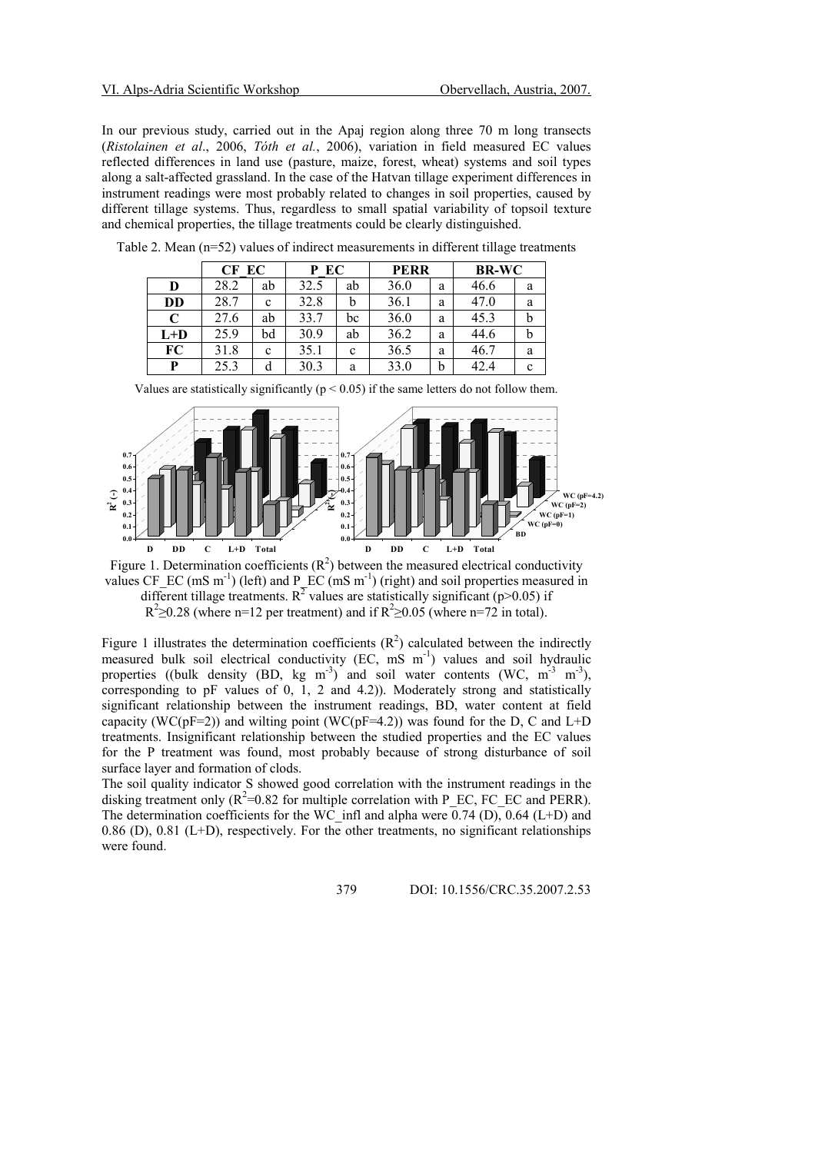In our previous study, carried out in the Apaj region along three 70 m long transects (Ristolainen et al., 2006, Tóth et al., 2006), variation in field measured EC values reflected differences in land use (pasture, maize, forest, wheat) systems and soil types along a salt-affected grassland. In the case of the Hatvan tillage experiment differences in instrument readings were most probably related to changes in soil properties, caused by different tillage systems. Thus, regardless to small spatial variability of topsoil texture and chemical properties, the tillage treatments could be clearly distinguished.

|       | CF EC |    | P EC |    | <b>PERR</b> |   | <b>BR-WC</b> |   |
|-------|-------|----|------|----|-------------|---|--------------|---|
| D     | 28.2  | ab | 32.5 | ab | 36.0        | a | 46.6         | a |
| DD    | 28.7  | c  | 32.8 | b  | 36.1        | a | 47.0         | a |
| C     | 27.6  | ab | 33.7 | bc | 36.0        | a | 45.3         |   |
| $L+D$ | 25.9  | bd | 30.9 | ab | 36.2        | a | 44.6         | n |
| FC    | 31.8  | c  | 35.1 | c  | 36.5        | a | 46.7         | a |
| P     | 25.3  | d  | 30.3 | a  | 33.0        | b | 42.4         | c |

Table 2. Mean (n=52) values of indirect measurements in different tillage treatments

| Values are statistically significantly ( $p < 0.05$ ) if the same letters do not follow them. |
|-----------------------------------------------------------------------------------------------|
|                                                                                               |



Figure 1. Determination coefficients  $(R^2)$  between the measured electrical conductivity values CF\_EC (mS m<sup>-1</sup>) (left) and P\_EC (mS m<sup>-1</sup>) (right) and soil properties measured in different tillage treatments. R<sup>2</sup> values are statistically significant (p>0.05) if  $R^2 \ge 0.28$  (where n=12 per treatment) and if  $R^2 \ge 0.05$  (where n=72 in total).

Figure 1 illustrates the determination coefficients  $(R^2)$  calculated between the indirectly measured bulk soil electrical conductivity (EC, mS m<sup>-1</sup>) values and soil hydraulic properties ((bulk density (BD, kg m<sup>-3</sup>) and soil water contents (WC, m<sup>-3</sup> m<sup>-3</sup>), corresponding to pF values of 0, 1, 2 and 4.2)). Moderately strong and statistically significant relationship between the instrument readings, BD, water content at field capacity (WC( $pF=2$ )) and wilting point (WC( $pF=4.2$ )) was found for the D, C and L+D treatments. Insignificant relationship between the studied properties and the EC values for the P treatment was found, most probably because of strong disturbance of soil surface layer and formation of clods.

The soil quality indicator S showed good correlation with the instrument readings in the disking treatment only  $(R^2=0.82$  for multiple correlation with P\_EC, FC\_EC and PERR). The determination coefficients for the WC\_infl and alpha were  $\overline{0.74}$  (D), 0.64 (L+D) and 0.86 (D), 0.81 (L+D), respectively. For the other treatments, no significant relationships were found.

379 DOI: 10.1556/CRC.35.2007.2.53